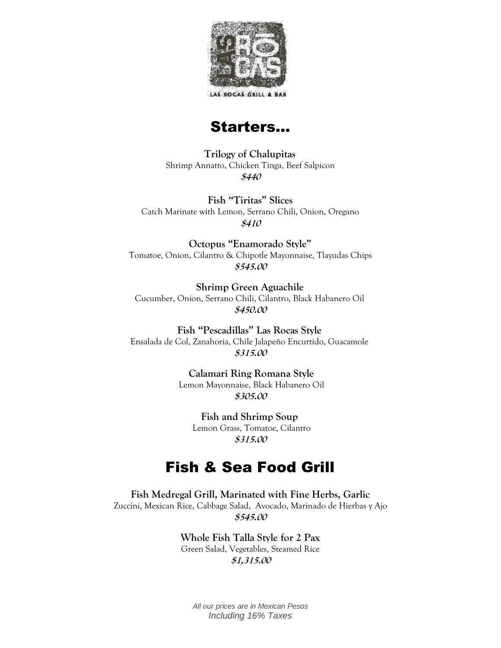

LAS ROCAS GRILL



**Trilogy of Chalupitas** Shrimp Annatto, Chicken Tinga, Beef Salpicon **\$440**

**Fish "Tiritas" Slices** Catch Marinate with Lemon, Serrano Chili, Onion, Oregano **\$410**

**Octopus "Enamorado Style"** Tomatoe, Onion, Cilantro & Chipotle Mayonnaise, Tlayudas Chips **\$545.00**

**Shrimp Green Aguachile** Cucumber, Onion, Serrano Chili, Cilantro, Black Habanero Oil **\$450.00**

**Fish "Pescadillas" Las Rocas Style** Ensalada de Col, Zanahoria, Chile Jalapeño Encurtido, Guacamole **\$315.00**

> **Calamari Ring Romana Style** Lemon Mayonnaise, Black Habanero Oil **\$305.00**

> > **Fish and Shrimp Soup** Lemon Grass, Tomatoe, Cilantro **\$315.00**

# Fish & Sea Food Grill

**Fish Medregal Grill, Marinated with Fine Herbs, Garlic** Zuccini, Mexican Rice, Cabbage Salad, Avocado, Marinado de Hierbas y Ajo **\$545.00**

> **Whole Fish Talla Style for 2 Pax** Green Salad, Vegetables, Steamed Rice **\$1,315.00**

*All our prices are in Mexican Pesos Including 16% Taxes*